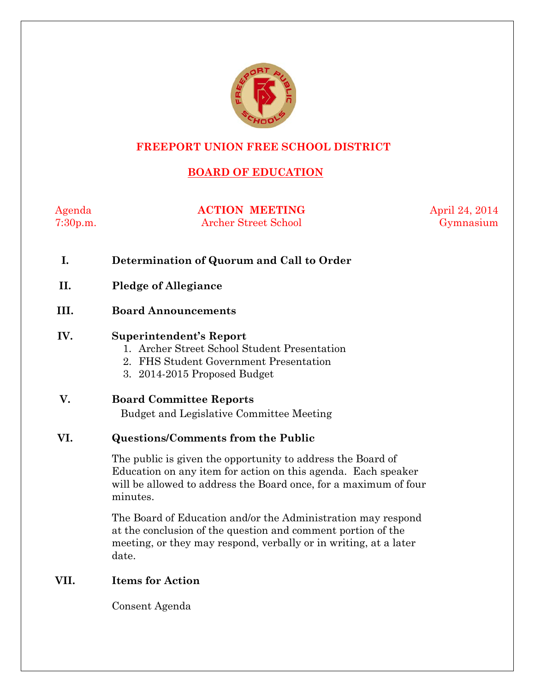

## **FREEPORT UNION FREE SCHOOL DISTRICT**

# **BOARD OF EDUCATION**

Agenda **ACTION MEETING** April 24, 2014 7:30p.m. Archer Street School Gymnasium

- **I. Determination of Quorum and Call to Order**
- **II. Pledge of Allegiance**

### **III. Board Announcements**

#### **IV. Superintendent's Report**

- 1. Archer Street School Student Presentation
- 2. FHS Student Government Presentation
- 3. 2014-2015 Proposed Budget

### **V. Board Committee Reports**

Budget and Legislative Committee Meeting

### **VI. Questions/Comments from the Public**

The public is given the opportunity to address the Board of Education on any item for action on this agenda. Each speaker will be allowed to address the Board once, for a maximum of four minutes.

The Board of Education and/or the Administration may respond at the conclusion of the question and comment portion of the meeting, or they may respond, verbally or in writing, at a later date.

### **VII. Items for Action**

Consent Agenda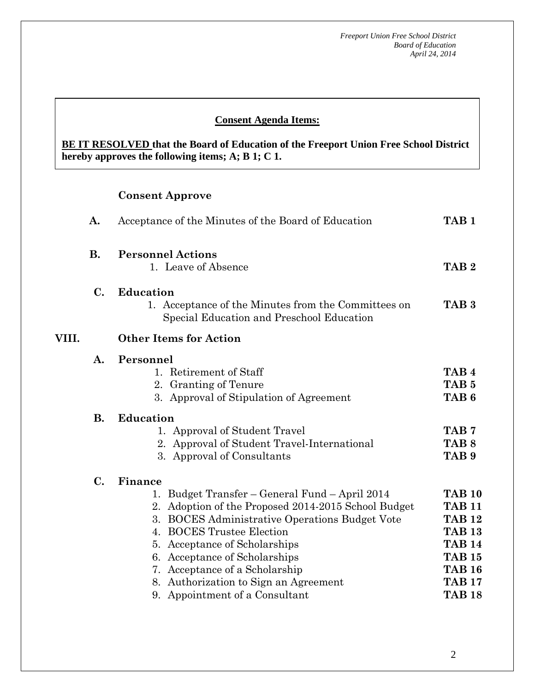### **Consent Agenda Items:**

**BE IT RESOLVED that the Board of Education of the Freeport Union Free School District hereby approves the following items; A; B 1; C 1.**

# **Consent Approve**

|       | A.        | Acceptance of the Minutes of the Board of Education                                                                                                                                                                                                                                                                                                                                                                       | TAB <sub>1</sub>                                                                                                                                      |
|-------|-----------|---------------------------------------------------------------------------------------------------------------------------------------------------------------------------------------------------------------------------------------------------------------------------------------------------------------------------------------------------------------------------------------------------------------------------|-------------------------------------------------------------------------------------------------------------------------------------------------------|
|       | <b>B.</b> | <b>Personnel Actions</b><br>1. Leave of Absence                                                                                                                                                                                                                                                                                                                                                                           | TAB <sub>2</sub>                                                                                                                                      |
|       | C.        | <b>Education</b><br>1. Acceptance of the Minutes from the Committees on<br>Special Education and Preschool Education                                                                                                                                                                                                                                                                                                      | TAB <sub>3</sub>                                                                                                                                      |
| VIII. |           |                                                                                                                                                                                                                                                                                                                                                                                                                           |                                                                                                                                                       |
|       | A.        | Personnel<br>1. Retirement of Staff<br>2. Granting of Tenure<br>3. Approval of Stipulation of Agreement                                                                                                                                                                                                                                                                                                                   | TAB <sub>4</sub><br>TAB <sub>5</sub><br>TAB <sub>6</sub>                                                                                              |
|       | <b>B.</b> | <b>Education</b><br>1. Approval of Student Travel<br>2. Approval of Student Travel-International<br>3. Approval of Consultants                                                                                                                                                                                                                                                                                            | TAB <sub>7</sub><br>TAB <sub>8</sub><br>TAB <sub>9</sub>                                                                                              |
|       | C.        | Finance<br>Budget Transfer – General Fund – April 2014<br>1.<br>Adoption of the Proposed 2014-2015 School Budget<br>2.<br><b>BOCES</b> Administrative Operations Budget Vote<br>3.<br><b>BOCES</b> Trustee Election<br>$\overline{4}$ .<br>Acceptance of Scholarships<br>5.<br>6. Acceptance of Scholarships<br>7. Acceptance of a Scholarship<br>8. Authorization to Sign an Agreement<br>9. Appointment of a Consultant | <b>TAB 10</b><br><b>TAB 11</b><br><b>TAB 12</b><br><b>TAB 13</b><br><b>TAB 14</b><br><b>TAB 15</b><br><b>TAB 16</b><br><b>TAB 17</b><br><b>TAB 18</b> |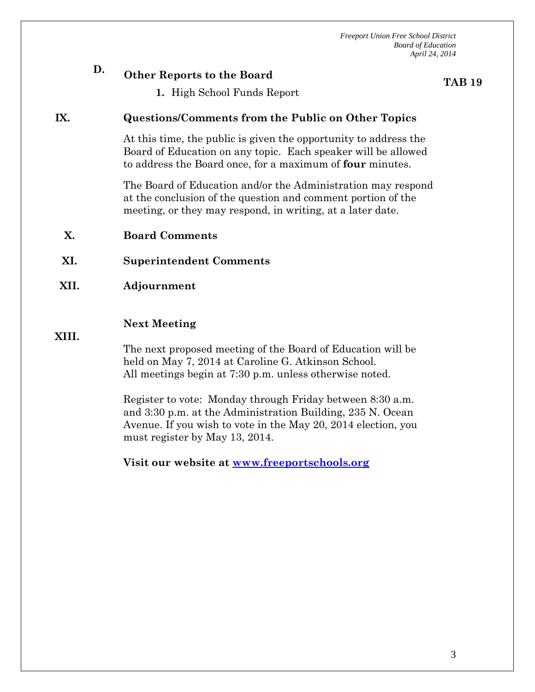# **D. Other Reports to the Board**

**TAB 19**

**1.** High School Funds Report

### **IX. Questions/Comments from the Public on Other Topics**

At this time, the public is given the opportunity to address the Board of Education on any topic. Each speaker will be allowed to address the Board once, for a maximum of **four** minutes.

The Board of Education and/or the Administration may respond at the conclusion of the question and comment portion of the meeting, or they may respond, in writing, at a later date.

- **X. Board Comments**
- **XI. Superintendent Comments**
- **XII. Adjournment**

### **Next Meeting**

**XIII.**

The next proposed meeting of the Board of Education will be held on May 7, 2014 at Caroline G. Atkinson School. All meetings begin at 7:30 p.m. unless otherwise noted.

Register to vote: Monday through Friday between 8:30 a.m. and 3:30 p.m. at the Administration Building, 235 N. Ocean Avenue. If you wish to vote in the May 20, 2014 election, you must register by May 13, 2014.

**Visit our website at [www.freeportschools.org](http://www.freeportschools.org/)**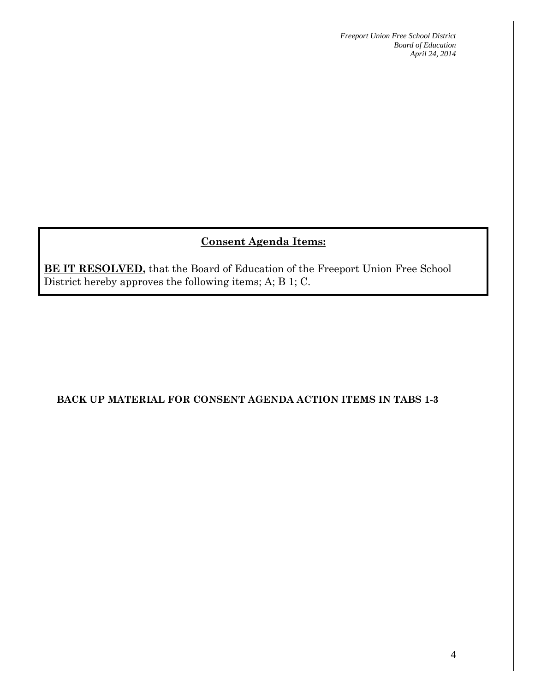# **Consent Agenda Items:**

**BE IT RESOLVED,** that the Board of Education of the Freeport Union Free School District hereby approves the following items; A; B 1; C.

## **BACK UP MATERIAL FOR CONSENT AGENDA ACTION ITEMS IN TABS 1-3**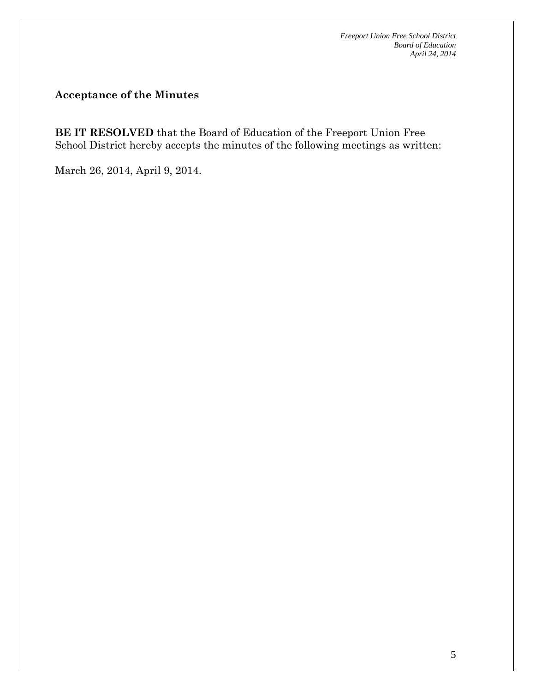## **Acceptance of the Minutes**

**BE IT RESOLVED** that the Board of Education of the Freeport Union Free School District hereby accepts the minutes of the following meetings as written:

March 26, 2014, April 9, 2014.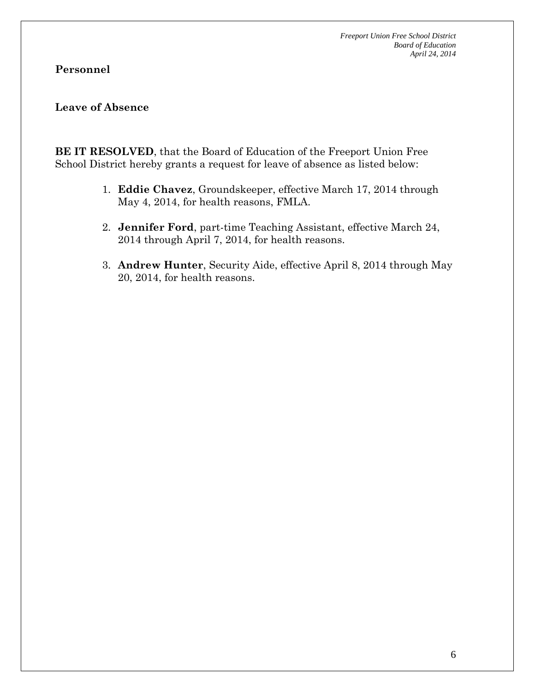### **Personnel**

### **Leave of Absence**

**BE IT RESOLVED**, that the Board of Education of the Freeport Union Free School District hereby grants a request for leave of absence as listed below:

- 1. **Eddie Chavez**, Groundskeeper, effective March 17, 2014 through May 4, 2014, for health reasons, FMLA.
- 2. **Jennifer Ford**, part-time Teaching Assistant, effective March 24, 2014 through April 7, 2014, for health reasons.
- 3. **Andrew Hunter**, Security Aide, effective April 8, 2014 through May 20, 2014, for health reasons.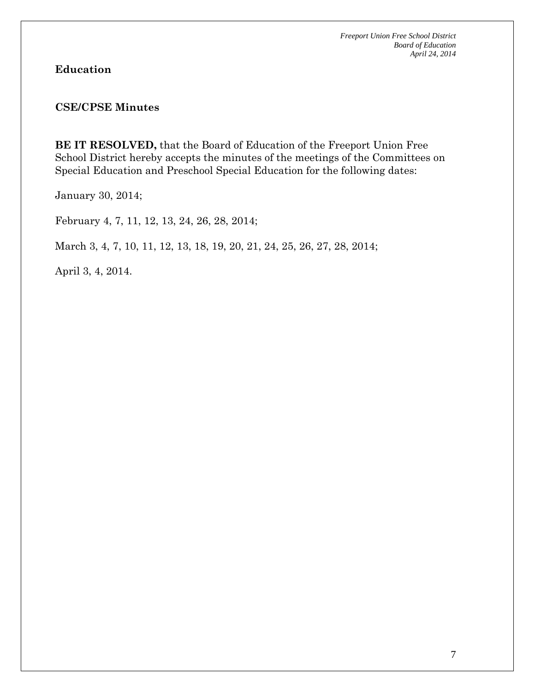### **Education**

### **CSE/CPSE Minutes**

**BE IT RESOLVED,** that the Board of Education of the Freeport Union Free School District hereby accepts the minutes of the meetings of the Committees on Special Education and Preschool Special Education for the following dates:

January 30, 2014;

February 4, 7, 11, 12, 13, 24, 26, 28, 2014;

March 3, 4, 7, 10, 11, 12, 13, 18, 19, 20, 21, 24, 25, 26, 27, 28, 2014;

April 3, 4, 2014.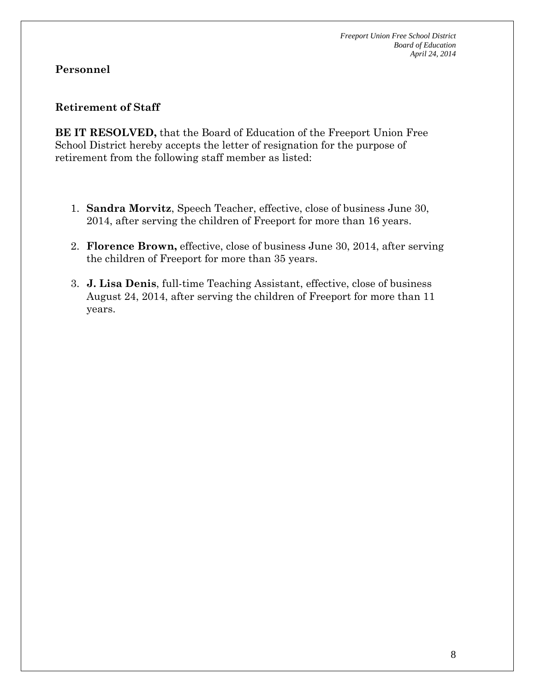### **Personnel**

### **Retirement of Staff**

**BE IT RESOLVED,** that the Board of Education of the Freeport Union Free School District hereby accepts the letter of resignation for the purpose of retirement from the following staff member as listed:

- 1. **Sandra Morvitz**, Speech Teacher, effective, close of business June 30, 2014, after serving the children of Freeport for more than 16 years.
- 2. **Florence Brown,** effective, close of business June 30, 2014, after serving the children of Freeport for more than 35 years.
- 3. **J. Lisa Denis**, full-time Teaching Assistant, effective, close of business August 24, 2014, after serving the children of Freeport for more than 11 years.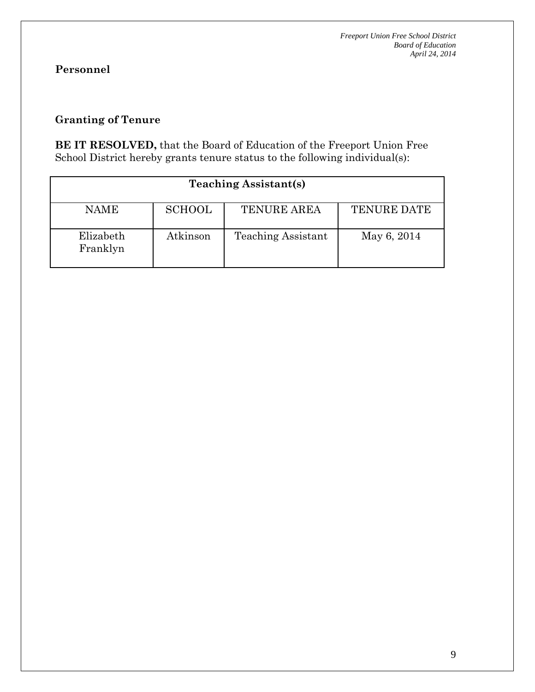# **Personnel**

# **Granting of Tenure**

**BE IT RESOLVED,** that the Board of Education of the Freeport Union Free School District hereby grants tenure status to the following individual(s):

| <b>Teaching Assistant(s)</b> |               |                           |                    |  |  |  |  |  |
|------------------------------|---------------|---------------------------|--------------------|--|--|--|--|--|
| <b>NAME</b>                  | <b>SCHOOL</b> | <b>TENURE AREA</b>        | <b>TENURE DATE</b> |  |  |  |  |  |
| Elizabeth<br>Franklyn        | Atkinson      | <b>Teaching Assistant</b> | May 6, 2014        |  |  |  |  |  |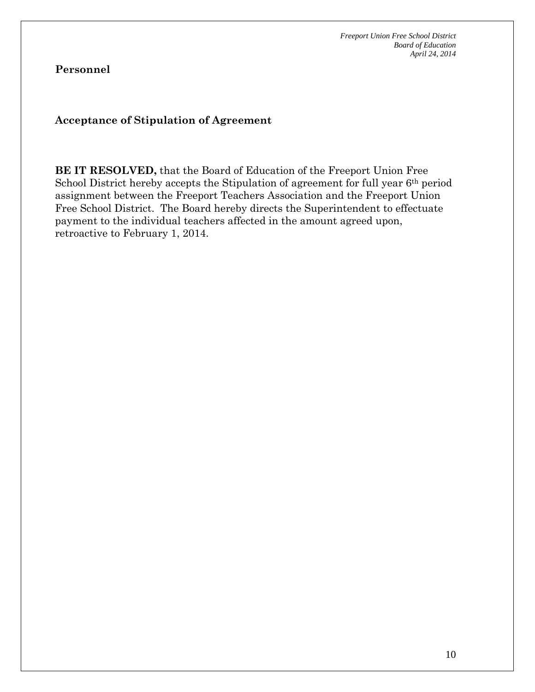**Personnel**

**Acceptance of Stipulation of Agreement**

**BE IT RESOLVED,** that the Board of Education of the Freeport Union Free School District hereby accepts the Stipulation of agreement for full year 6<sup>th</sup> period assignment between the Freeport Teachers Association and the Freeport Union Free School District. The Board hereby directs the Superintendent to effectuate payment to the individual teachers affected in the amount agreed upon, retroactive to February 1, 2014.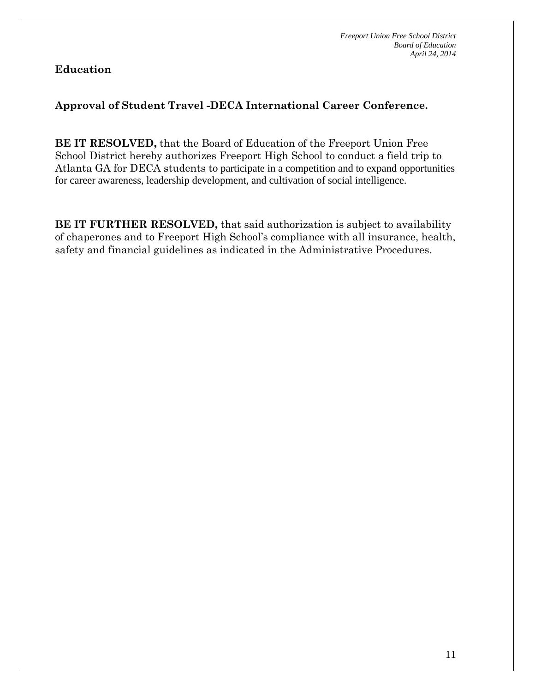**Education**

# **Approval of Student Travel -DECA International Career Conference.**

**BE IT RESOLVED,** that the Board of Education of the Freeport Union Free School District hereby authorizes Freeport High School to conduct a field trip to Atlanta GA for DECA students to participate in a competition and to expand opportunities for career awareness, leadership development, and cultivation of social intelligence.

**BE IT FURTHER RESOLVED,** that said authorization is subject to availability of chaperones and to Freeport High School's compliance with all insurance, health, safety and financial guidelines as indicated in the Administrative Procedures.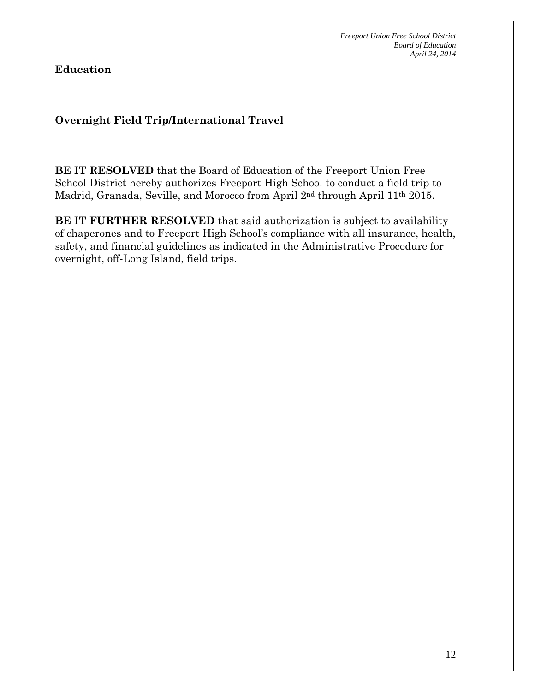**Education**

## **Overnight Field Trip/International Travel**

**BE IT RESOLVED** that the Board of Education of the Freeport Union Free School District hereby authorizes Freeport High School to conduct a field trip to Madrid, Granada, Seville, and Morocco from April 2nd through April 11th 2015.

**BE IT FURTHER RESOLVED** that said authorization is subject to availability of chaperones and to Freeport High School's compliance with all insurance, health, safety, and financial guidelines as indicated in the Administrative Procedure for overnight, off-Long Island, field trips.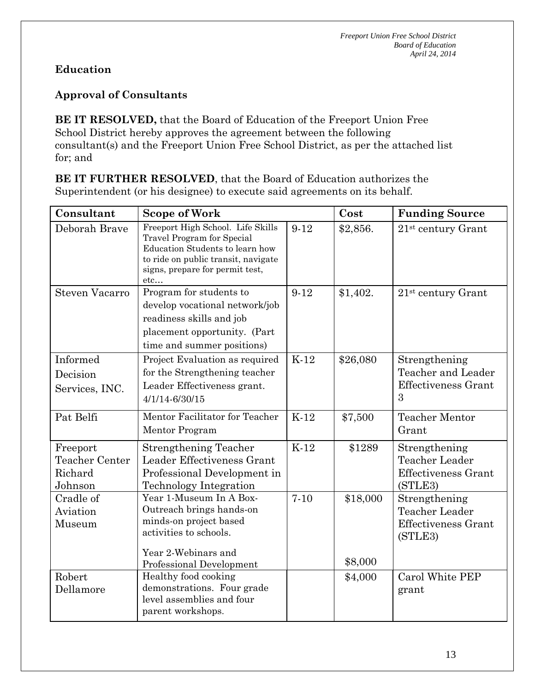# **Education**

# **Approval of Consultants**

**BE IT RESOLVED,** that the Board of Education of the Freeport Union Free School District hereby approves the agreement between the following consultant(s) and the Freeport Union Free School District, as per the attached list for; and

**BE IT FURTHER RESOLVED**, that the Board of Education authorizes the Superintendent (or his designee) to execute said agreements on its behalf.

| Consultant                                       | <b>Scope of Work</b>                                                                                                                                                                |        | Cost                | <b>Funding Source</b>                                                           |
|--------------------------------------------------|-------------------------------------------------------------------------------------------------------------------------------------------------------------------------------------|--------|---------------------|---------------------------------------------------------------------------------|
| Deborah Brave                                    | Freeport High School. Life Skills<br>Travel Program for Special<br>Education Students to learn how<br>to ride on public transit, navigate<br>signs, prepare for permit test,<br>etc | $9-12$ | \$2,856.            | $21st$ century Grant                                                            |
| <b>Steven Vacarro</b>                            | Program for students to<br>develop vocational network/job<br>readiness skills and job<br>placement opportunity. (Part<br>time and summer positions)                                 | $9-12$ | \$1,402.            | $21st$ century Grant                                                            |
| Informed<br>Decision<br>Services, INC.           | Project Evaluation as required<br>for the Strengthening teacher<br>Leader Effectiveness grant.<br>4/1/14-6/30/15                                                                    | $K-12$ | \$26,080            | Strengthening<br>Teacher and Leader<br><b>Effectiveness Grant</b><br>3          |
| Pat Belfi                                        | Mentor Facilitator for Teacher<br>Mentor Program                                                                                                                                    | $K-12$ | \$7,500             | <b>Teacher Mentor</b><br>Grant                                                  |
| Freeport<br>Teacher Center<br>Richard<br>Johnson | Strengthening Teacher<br>Leader Effectiveness Grant<br>Professional Development in<br>Technology Integration                                                                        | $K-12$ | \$1289              | Strengthening<br><b>Teacher Leader</b><br><b>Effectiveness Grant</b><br>(STLE3) |
| Cradle of<br>Aviation<br>Museum                  | Year 1-Museum In A Box-<br>Outreach brings hands-on<br>minds-on project based<br>activities to schools.<br>Year 2-Webinars and<br>Professional Development                          | $7-10$ | \$18,000<br>\$8,000 | Strengthening<br>Teacher Leader<br><b>Effectiveness Grant</b><br>(STLE3)        |
| Robert<br>Dellamore                              | Healthy food cooking<br>demonstrations. Four grade<br>level assemblies and four<br>parent workshops.                                                                                |        | \$4,000             | Carol White PEP<br>grant                                                        |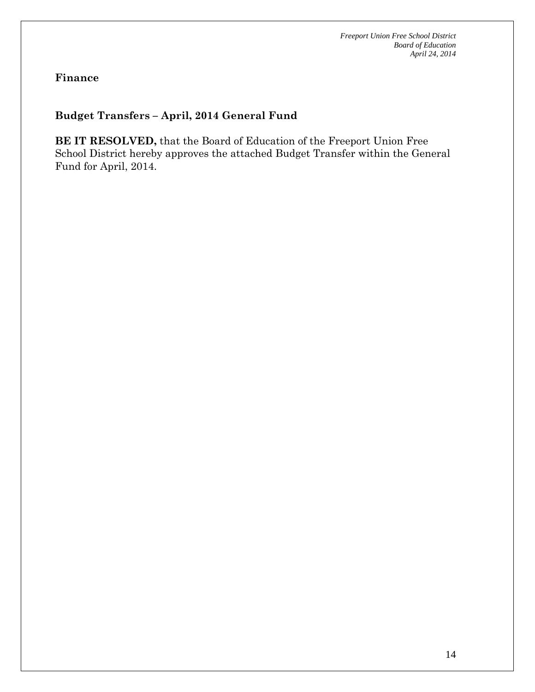**Finance**

## **Budget Transfers – April, 2014 General Fund**

**BE IT RESOLVED,** that the Board of Education of the Freeport Union Free School District hereby approves the attached Budget Transfer within the General Fund for April, 2014.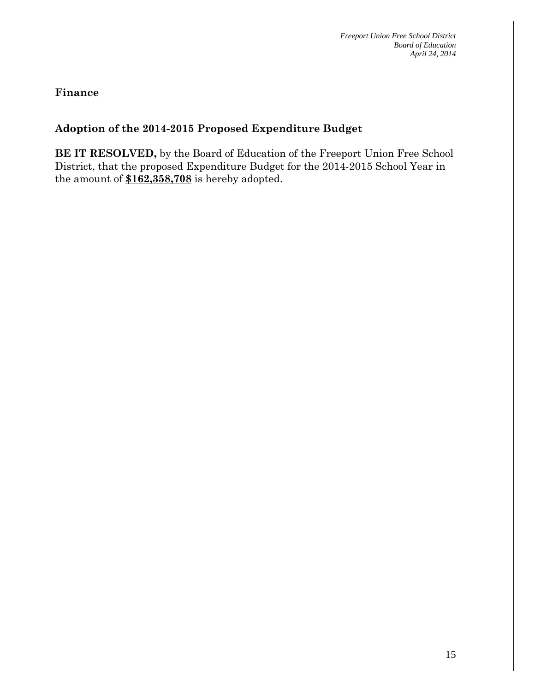**Finance**

# **Adoption of the 2014-2015 Proposed Expenditure Budget**

**BE IT RESOLVED,** by the Board of Education of the Freeport Union Free School District, that the proposed Expenditure Budget for the 2014-2015 School Year in the amount of **\$162,358,708** is hereby adopted.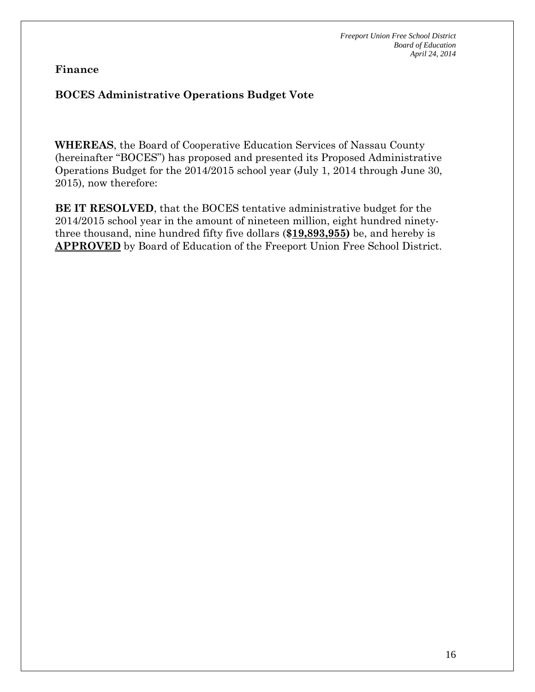**Finance**

# **BOCES Administrative Operations Budget Vote**

**WHEREAS**, the Board of Cooperative Education Services of Nassau County (hereinafter "BOCES") has proposed and presented its Proposed Administrative Operations Budget for the 2014/2015 school year (July 1, 2014 through June 30, 2015), now therefore:

**BE IT RESOLVED**, that the BOCES tentative administrative budget for the 2014/2015 school year in the amount of nineteen million, eight hundred ninetythree thousand, nine hundred fifty five dollars (**\$19,893,955)** be, and hereby is **APPROVED** by Board of Education of the Freeport Union Free School District.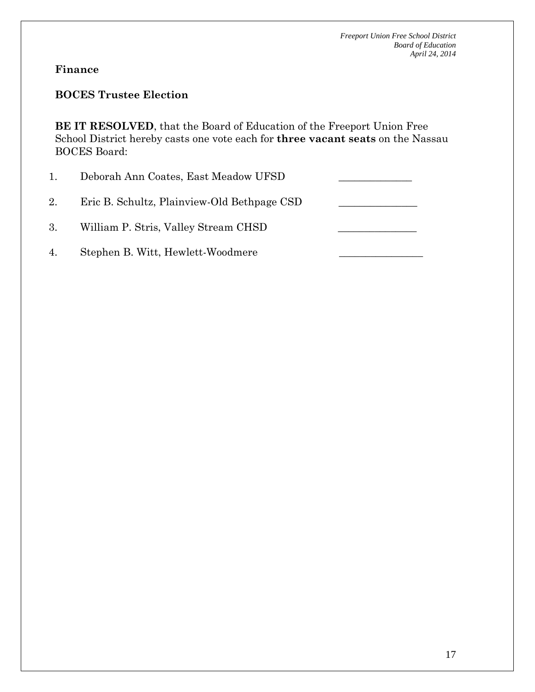## **Finance**

## **BOCES Trustee Election**

**BE IT RESOLVED**, that the Board of Education of the Freeport Union Free School District hereby casts one vote each for **three vacant seats** on the Nassau BOCES Board:

1. Deborah Ann Coates, East Meadow UFSD 2. Eric B. Schultz, Plainview-Old Bethpage CSD 3. William P. Stris, Valley Stream CHSD 4. Stephen B. Witt, Hewlett-Woodmere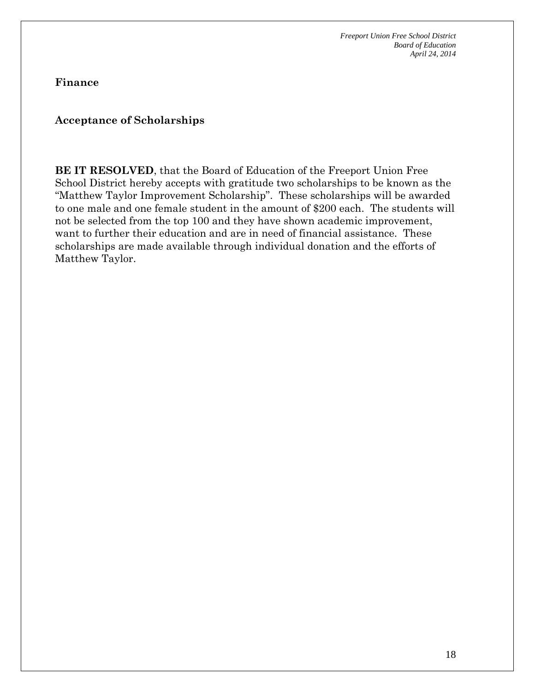**Finance**

### **Acceptance of Scholarships**

**BE IT RESOLVED**, that the Board of Education of the Freeport Union Free School District hereby accepts with gratitude two scholarships to be known as the "Matthew Taylor Improvement Scholarship". These scholarships will be awarded to one male and one female student in the amount of \$200 each. The students will not be selected from the top 100 and they have shown academic improvement, want to further their education and are in need of financial assistance. These scholarships are made available through individual donation and the efforts of Matthew Taylor.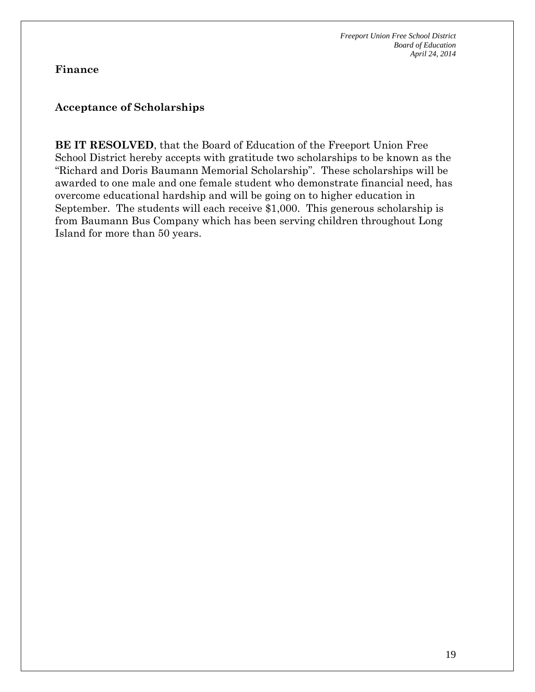### **Finance**

### **Acceptance of Scholarships**

**BE IT RESOLVED**, that the Board of Education of the Freeport Union Free School District hereby accepts with gratitude two scholarships to be known as the "Richard and Doris Baumann Memorial Scholarship". These scholarships will be awarded to one male and one female student who demonstrate financial need, has overcome educational hardship and will be going on to higher education in September. The students will each receive \$1,000. This generous scholarship is from Baumann Bus Company which has been serving children throughout Long Island for more than 50 years.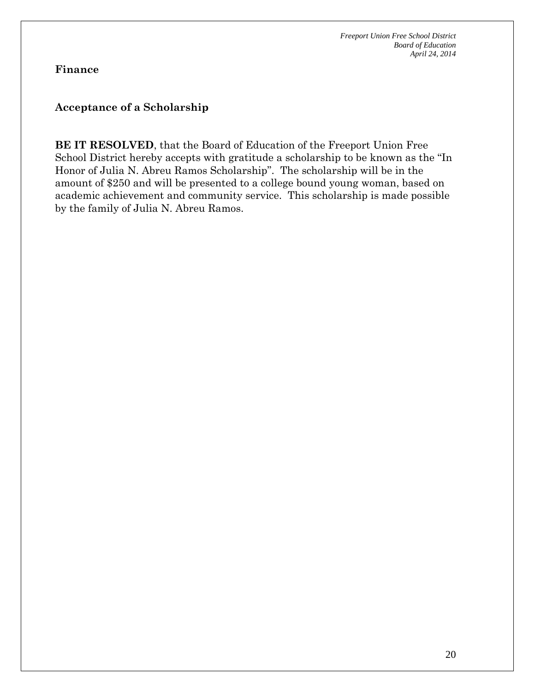**Finance**

### **Acceptance of a Scholarship**

**BE IT RESOLVED**, that the Board of Education of the Freeport Union Free School District hereby accepts with gratitude a scholarship to be known as the "In Honor of Julia N. Abreu Ramos Scholarship". The scholarship will be in the amount of \$250 and will be presented to a college bound young woman, based on academic achievement and community service. This scholarship is made possible by the family of Julia N. Abreu Ramos.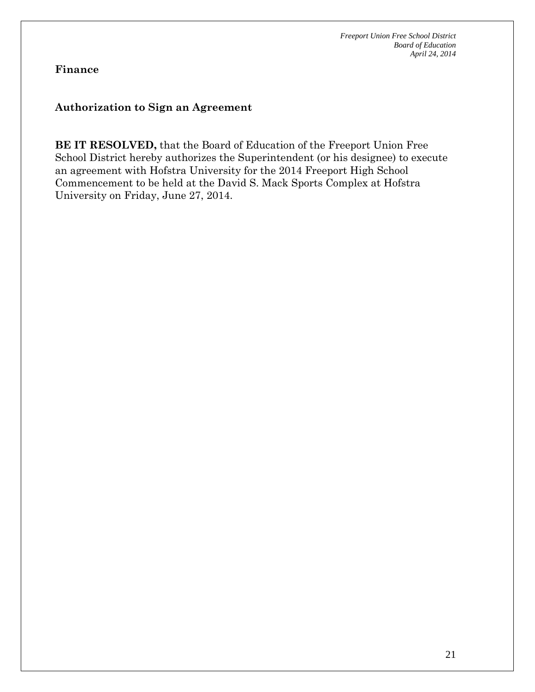**Finance**

## **Authorization to Sign an Agreement**

**BE IT RESOLVED,** that the Board of Education of the Freeport Union Free School District hereby authorizes the Superintendent (or his designee) to execute an agreement with Hofstra University for the 2014 Freeport High School Commencement to be held at the David S. Mack Sports Complex at Hofstra University on Friday, June 27, 2014.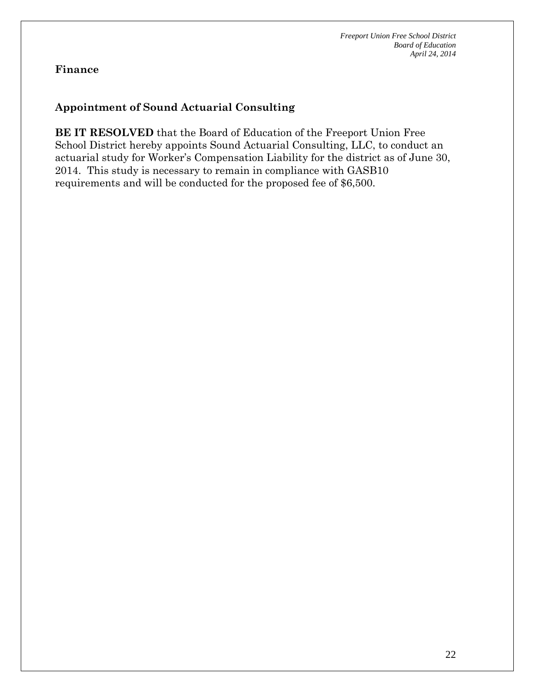## **Finance**

# **Appointment of Sound Actuarial Consulting**

**BE IT RESOLVED** that the Board of Education of the Freeport Union Free School District hereby appoints Sound Actuarial Consulting, LLC, to conduct an actuarial study for Worker's Compensation Liability for the district as of June 30, 2014. This study is necessary to remain in compliance with GASB10 requirements and will be conducted for the proposed fee of \$6,500.